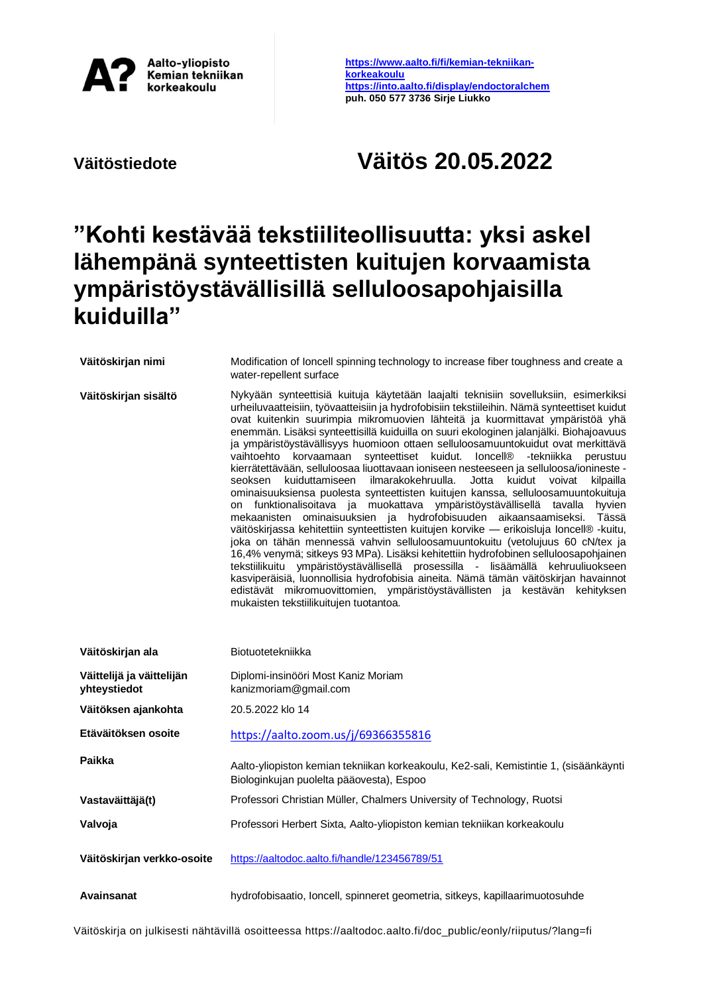

**[https://www.aalto.fi/fi/kemian-tekniikan](https://www.aalto.fi/fi/kemian-tekniikan-korkeakoulu)[korkeakoulu](https://www.aalto.fi/fi/kemian-tekniikan-korkeakoulu) <https://into.aalto.fi/display/endoctoralchem> puh. 050 577 3736 Sirje Liukko**

## **Väitöstiedote Väitös 20.05.2022**

## **"Kohti kestävää tekstiiliteollisuutta: yksi askel lähempänä synteettisten kuitujen korvaamista ympäristöystävällisillä selluloosapohjaisilla kuiduilla"**

| Väitöskirjan nimi          | Modification of loncell spinning technology to increase fiber toughness and create a<br>water-repellent surface                                                                                                                                                                                                                                                                                                                                                                                                                                                                                                                                                                                                                                                                                                                                                                                                                                                                                                                                                                                                                                                                                                                                                                                                                                                                                                                                                                                                                        |
|----------------------------|----------------------------------------------------------------------------------------------------------------------------------------------------------------------------------------------------------------------------------------------------------------------------------------------------------------------------------------------------------------------------------------------------------------------------------------------------------------------------------------------------------------------------------------------------------------------------------------------------------------------------------------------------------------------------------------------------------------------------------------------------------------------------------------------------------------------------------------------------------------------------------------------------------------------------------------------------------------------------------------------------------------------------------------------------------------------------------------------------------------------------------------------------------------------------------------------------------------------------------------------------------------------------------------------------------------------------------------------------------------------------------------------------------------------------------------------------------------------------------------------------------------------------------------|
| Väitöskirjan sisältö       | Nykyään synteettisiä kuituja käytetään laajalti teknisiin sovelluksiin, esimerkiksi<br>urheiluvaatteisiin, työvaatteisiin ja hydrofobisiin tekstiileihin. Nämä synteettiset kuidut<br>ovat kuitenkin suurimpia mikromuovien lähteitä ja kuormittavat ympäristöä yhä<br>enemmän. Lisäksi synteettisillä kuiduilla on suuri ekologinen jalanjälki. Biohajoavuus<br>ja ympäristöystävällisyys huomioon ottaen selluloosamuuntokuidut ovat merkittävä<br>vaihtoehto korvaamaan synteettiset kuidut. Ioncell® -tekniikka perustuu<br>kierrätettävään, selluloosaa liuottavaan ioniseen nesteeseen ja selluloosa/ionineste -<br>ilmarakokehruulla.<br>Jotta<br>seoksen kuiduttamiseen<br>kuidut<br>voivat<br>kilpailla<br>ominaisuuksiensa puolesta synteettisten kuitujen kanssa, selluloosamuuntokuituja<br>on funktionalisoitava ja muokattava ympäristöystävällisellä tavalla<br>hyvien<br>mekaanisten ominaisuuksien ja hydrofobisuuden aikaansaamiseksi.<br>Tässä<br>väitöskirjassa kehitettiin synteettisten kuitujen korvike - erikoisluja loncell® -kuitu,<br>joka on tähän mennessä vahvin selluloosamuuntokuitu (vetolujuus 60 cN/tex ja<br>16,4% venymä; sitkeys 93 MPa). Lisäksi kehitettiin hydrofobinen selluloosapohjainen<br>tekstiilikuitu ympäristöystävällisellä prosessilla - lisäämällä kehruuliuokseen<br>kasviperäisiä, luonnollisia hydrofobisia aineita. Nämä tämän väitöskirjan havainnot<br>edistävät mikromuovittomien, ympäristöystävällisten ja kestävän kehityksen<br>mukaisten tekstiilikuitujen tuotantoa. |
| Väitöskirjan ala           | Biotuotetekniikka                                                                                                                                                                                                                                                                                                                                                                                                                                                                                                                                                                                                                                                                                                                                                                                                                                                                                                                                                                                                                                                                                                                                                                                                                                                                                                                                                                                                                                                                                                                      |
| Väittelijä ja väittelijän  |                                                                                                                                                                                                                                                                                                                                                                                                                                                                                                                                                                                                                                                                                                                                                                                                                                                                                                                                                                                                                                                                                                                                                                                                                                                                                                                                                                                                                                                                                                                                        |
| yhteystiedot               | Diplomi-insinööri Most Kaniz Moriam<br>kanizmoriam@gmail.com                                                                                                                                                                                                                                                                                                                                                                                                                                                                                                                                                                                                                                                                                                                                                                                                                                                                                                                                                                                                                                                                                                                                                                                                                                                                                                                                                                                                                                                                           |
| Väitöksen ajankohta        | 20.5.2022 klo 14                                                                                                                                                                                                                                                                                                                                                                                                                                                                                                                                                                                                                                                                                                                                                                                                                                                                                                                                                                                                                                                                                                                                                                                                                                                                                                                                                                                                                                                                                                                       |
| Etäväitöksen osoite        | https://aalto.zoom.us/j/69366355816                                                                                                                                                                                                                                                                                                                                                                                                                                                                                                                                                                                                                                                                                                                                                                                                                                                                                                                                                                                                                                                                                                                                                                                                                                                                                                                                                                                                                                                                                                    |
| Paikka                     | Aalto-yliopiston kemian tekniikan korkeakoulu, Ke2-sali, Kemistintie 1, (sisäänkäynti<br>Biologinkujan puolelta pääovesta), Espoo                                                                                                                                                                                                                                                                                                                                                                                                                                                                                                                                                                                                                                                                                                                                                                                                                                                                                                                                                                                                                                                                                                                                                                                                                                                                                                                                                                                                      |
| Vastaväittäjä(t)           | Professori Christian Müller, Chalmers University of Technology, Ruotsi                                                                                                                                                                                                                                                                                                                                                                                                                                                                                                                                                                                                                                                                                                                                                                                                                                                                                                                                                                                                                                                                                                                                                                                                                                                                                                                                                                                                                                                                 |
| Valvoja                    | Professori Herbert Sixta, Aalto-yliopiston kemian tekniikan korkeakoulu                                                                                                                                                                                                                                                                                                                                                                                                                                                                                                                                                                                                                                                                                                                                                                                                                                                                                                                                                                                                                                                                                                                                                                                                                                                                                                                                                                                                                                                                |
| Väitöskirjan verkko-osoite | https://aaltodoc.aalto.fi/handle/123456789/51                                                                                                                                                                                                                                                                                                                                                                                                                                                                                                                                                                                                                                                                                                                                                                                                                                                                                                                                                                                                                                                                                                                                                                                                                                                                                                                                                                                                                                                                                          |

Väitöskirja on julkisesti nähtävillä osoitteessa https://aaltodoc.aalto.fi/doc\_public/eonly/riiputus/?lang=fi